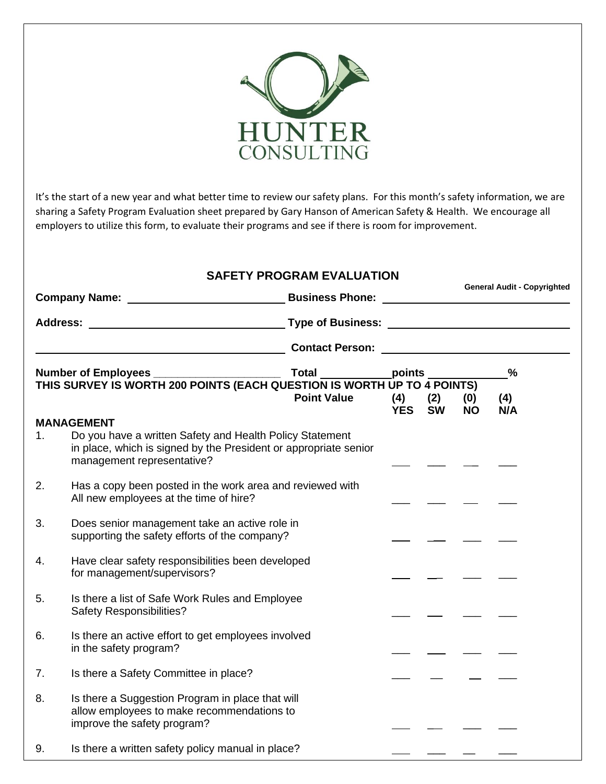

It's the start of a new year and what better time to review our safety plans. For this month's safety information, we are sharing a Safety Program Evaluation sheet prepared by Gary Hanson of American Safety & Health. We encourage all employers to utilize this form, to evaluate their programs and see if there is room for improvement.

## **SAFETY PROGRAM EVALUATION**

**Company Name: Business Phone: Business Phone:** 

**General Audit - Copyrighted**

| <b>Address:</b> |                                                                                                                                                                                 | <b>Type of Business:</b> |                   |                  |                  |            |
|-----------------|---------------------------------------------------------------------------------------------------------------------------------------------------------------------------------|--------------------------|-------------------|------------------|------------------|------------|
|                 |                                                                                                                                                                                 | <b>Contact Person:</b>   |                   |                  |                  |            |
|                 | <b>Number of Employees</b>                                                                                                                                                      | <b>Total</b>             | points            |                  |                  | $\%$       |
|                 | THIS SURVEY IS WORTH 200 POINTS (EACH QUESTION IS WORTH UP TO 4 POINTS)                                                                                                         | <b>Point Value</b>       | (4)<br><b>YES</b> | (2)<br><b>SW</b> | (0)<br><b>NO</b> | (4)<br>N/A |
| 1 <sub>1</sub>  | <b>MANAGEMENT</b><br>Do you have a written Safety and Health Policy Statement<br>in place, which is signed by the President or appropriate senior<br>management representative? |                          |                   |                  |                  |            |
| 2.              | Has a copy been posted in the work area and reviewed with<br>All new employees at the time of hire?                                                                             |                          |                   |                  |                  |            |
| 3.              | Does senior management take an active role in<br>supporting the safety efforts of the company?                                                                                  |                          |                   |                  |                  |            |
| 4.              | Have clear safety responsibilities been developed<br>for management/supervisors?                                                                                                |                          |                   |                  |                  |            |
| 5.              | Is there a list of Safe Work Rules and Employee<br><b>Safety Responsibilities?</b>                                                                                              |                          |                   |                  |                  |            |
| 6.              | Is there an active effort to get employees involved<br>in the safety program?                                                                                                   |                          |                   |                  |                  |            |
| 7.              | Is there a Safety Committee in place?                                                                                                                                           |                          |                   |                  |                  |            |
| 8.              | Is there a Suggestion Program in place that will<br>allow employees to make recommendations to<br>improve the safety program?                                                   |                          |                   |                  |                  |            |
| 9.              | Is there a written safety policy manual in place?                                                                                                                               |                          |                   |                  |                  |            |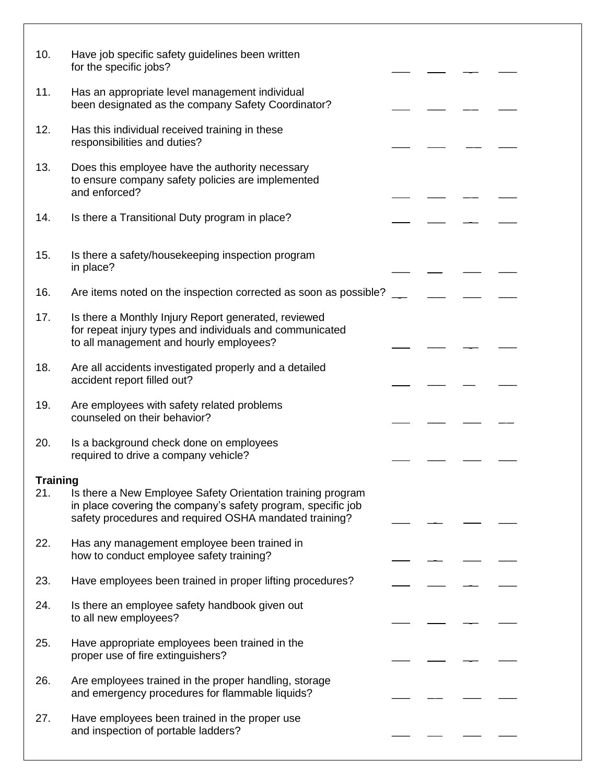| 10.      | Have job specific safety guidelines been written<br>for the specific jobs?                                                                                                            |  |  |
|----------|---------------------------------------------------------------------------------------------------------------------------------------------------------------------------------------|--|--|
| 11.      | Has an appropriate level management individual<br>been designated as the company Safety Coordinator?                                                                                  |  |  |
| 12.      | Has this individual received training in these<br>responsibilities and duties?                                                                                                        |  |  |
| 13.      | Does this employee have the authority necessary<br>to ensure company safety policies are implemented<br>and enforced?                                                                 |  |  |
| 14.      | Is there a Transitional Duty program in place?                                                                                                                                        |  |  |
| 15.      | Is there a safety/housekeeping inspection program<br>in place?                                                                                                                        |  |  |
| 16.      | Are items noted on the inspection corrected as soon as possible?                                                                                                                      |  |  |
| 17.      | Is there a Monthly Injury Report generated, reviewed<br>for repeat injury types and individuals and communicated<br>to all management and hourly employees?                           |  |  |
| 18.      | Are all accidents investigated properly and a detailed<br>accident report filled out?                                                                                                 |  |  |
| 19.      | Are employees with safety related problems<br>counseled on their behavior?                                                                                                            |  |  |
| 20.      | Is a background check done on employees<br>required to drive a company vehicle?                                                                                                       |  |  |
| Training |                                                                                                                                                                                       |  |  |
| 21.      | Is there a New Employee Safety Orientation training program<br>in place covering the company's safety program, specific job<br>safety procedures and required OSHA mandated training? |  |  |
| 22.      | Has any management employee been trained in<br>how to conduct employee safety training?                                                                                               |  |  |
| 23.      | Have employees been trained in proper lifting procedures?                                                                                                                             |  |  |
| 24.      | Is there an employee safety handbook given out<br>to all new employees?                                                                                                               |  |  |
| 25.      | Have appropriate employees been trained in the<br>proper use of fire extinguishers?                                                                                                   |  |  |
| 26.      | Are employees trained in the proper handling, storage<br>and emergency procedures for flammable liquids?                                                                              |  |  |
| 27.      | Have employees been trained in the proper use<br>and inspection of portable ladders?                                                                                                  |  |  |
|          |                                                                                                                                                                                       |  |  |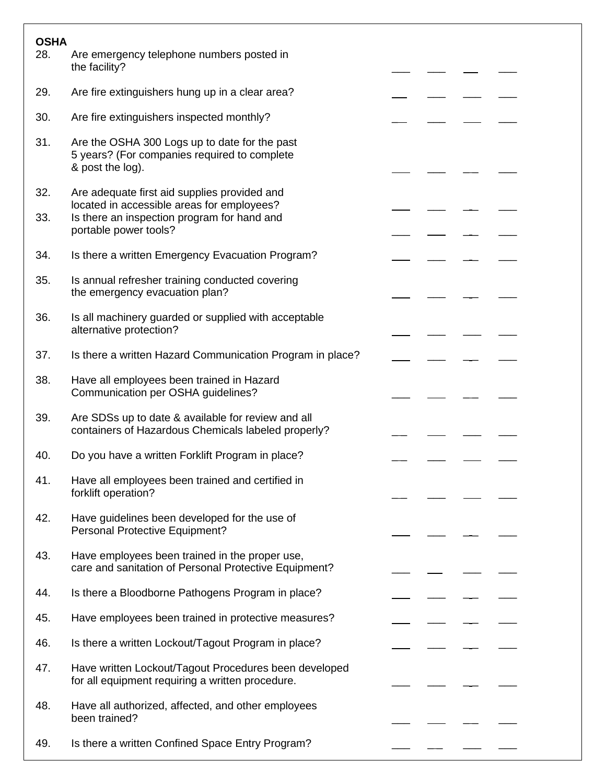| <b>OSHA</b><br>28. | Are emergency telephone numbers posted in                                                                         |  |  |
|--------------------|-------------------------------------------------------------------------------------------------------------------|--|--|
|                    | the facility?                                                                                                     |  |  |
| 29.                | Are fire extinguishers hung up in a clear area?                                                                   |  |  |
| 30.                | Are fire extinguishers inspected monthly?                                                                         |  |  |
| 31.                | Are the OSHA 300 Logs up to date for the past<br>5 years? (For companies required to complete<br>& post the log). |  |  |
| 32.                | Are adequate first aid supplies provided and<br>located in accessible areas for employees?                        |  |  |
| 33.                | Is there an inspection program for hand and<br>portable power tools?                                              |  |  |
| 34.                | Is there a written Emergency Evacuation Program?                                                                  |  |  |
| 35.                | Is annual refresher training conducted covering<br>the emergency evacuation plan?                                 |  |  |
| 36.                | Is all machinery guarded or supplied with acceptable<br>alternative protection?                                   |  |  |
| 37.                | Is there a written Hazard Communication Program in place?                                                         |  |  |
| 38.                | Have all employees been trained in Hazard<br>Communication per OSHA guidelines?                                   |  |  |
| 39.                | Are SDSs up to date & available for review and all<br>containers of Hazardous Chemicals labeled properly?         |  |  |
| 40.                | Do you have a written Forklift Program in place?                                                                  |  |  |
| 41.                | Have all employees been trained and certified in<br>forklift operation?                                           |  |  |
| 42.                | Have guidelines been developed for the use of<br>Personal Protective Equipment?                                   |  |  |
| 43.                | Have employees been trained in the proper use,<br>care and sanitation of Personal Protective Equipment?           |  |  |
| 44.                | Is there a Bloodborne Pathogens Program in place?                                                                 |  |  |
| 45.                | Have employees been trained in protective measures?                                                               |  |  |
| 46.                | Is there a written Lockout/Tagout Program in place?                                                               |  |  |
| 47.                | Have written Lockout/Tagout Procedures been developed<br>for all equipment requiring a written procedure.         |  |  |
| 48.                | Have all authorized, affected, and other employees<br>been trained?                                               |  |  |
| 49.                | Is there a written Confined Space Entry Program?                                                                  |  |  |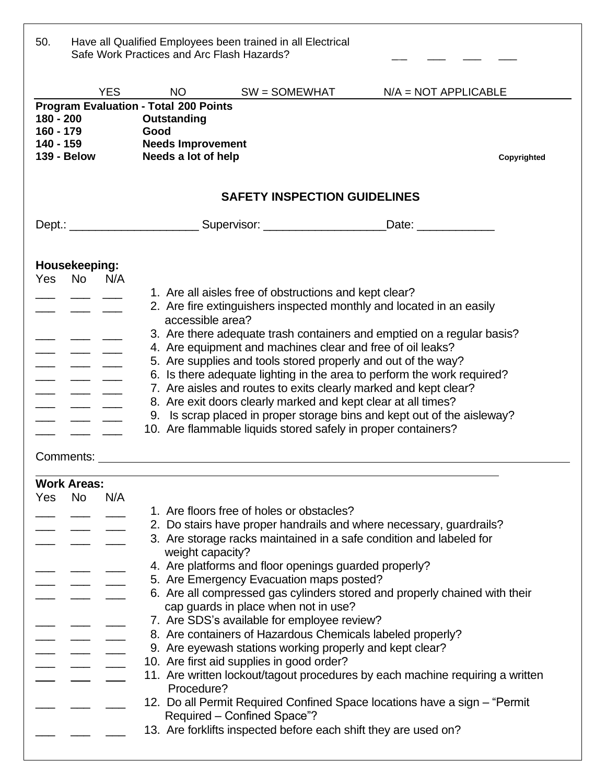| 50.                      |                                  |                    | Safe Work Practices and Arc Flash Hazards?                                                                             | Have all Qualified Employees been trained in all Electrical                                                                    |                                                                                                                                                                                                                                                                                        |             |
|--------------------------|----------------------------------|--------------------|------------------------------------------------------------------------------------------------------------------------|--------------------------------------------------------------------------------------------------------------------------------|----------------------------------------------------------------------------------------------------------------------------------------------------------------------------------------------------------------------------------------------------------------------------------------|-------------|
|                          |                                  | <b>YES</b>         |                                                                                                                        | $NO$ $SW = SOMEWHAT$                                                                                                           | $N/A = NOT APPLICATION$                                                                                                                                                                                                                                                                |             |
| $180 - 200$<br>160 - 179 | 140 - 159                        | <b>139 - Below</b> | <b>Program Evaluation - Total 200 Points</b><br>Outstanding<br>Good<br><b>Needs Improvement</b><br>Needs a lot of help |                                                                                                                                |                                                                                                                                                                                                                                                                                        | Copyrighted |
|                          |                                  |                    |                                                                                                                        | <b>SAFETY INSPECTION GUIDELINES</b>                                                                                            |                                                                                                                                                                                                                                                                                        |             |
|                          |                                  |                    |                                                                                                                        |                                                                                                                                | Dept.: _______________________________Supervisor: __________________________Date: __________________                                                                                                                                                                                   |             |
|                          | Housekeeping:<br>Yes No N/A      |                    |                                                                                                                        | 1. Are all aisles free of obstructions and kept clear?                                                                         |                                                                                                                                                                                                                                                                                        |             |
|                          |                                  |                    | accessible area?                                                                                                       |                                                                                                                                | 2. Are fire extinguishers inspected monthly and located in an easily                                                                                                                                                                                                                   |             |
|                          |                                  |                    |                                                                                                                        | 4. Are equipment and machines clear and free of oil leaks?                                                                     | 3. Are there adequate trash containers and emptied on a regular basis?<br>5. Are supplies and tools stored properly and out of the way?<br>6. Is there adequate lighting in the area to perform the work required?<br>7. Are aisles and routes to exits clearly marked and kept clear? |             |
|                          | Comments:                        |                    |                                                                                                                        | 8. Are exit doors clearly marked and kept clear at all times?<br>10. Are flammable liquids stored safely in proper containers? | 9. Is scrap placed in proper storage bins and kept out of the aisleway?                                                                                                                                                                                                                |             |
|                          |                                  |                    |                                                                                                                        |                                                                                                                                |                                                                                                                                                                                                                                                                                        |             |
|                          | <b>Work Areas:</b><br>Yes No N/A |                    |                                                                                                                        |                                                                                                                                |                                                                                                                                                                                                                                                                                        |             |
|                          |                                  |                    |                                                                                                                        | 1. Are floors free of holes or obstacles?                                                                                      |                                                                                                                                                                                                                                                                                        |             |
|                          |                                  |                    |                                                                                                                        |                                                                                                                                | 2. Do stairs have proper handrails and where necessary, guardrails?                                                                                                                                                                                                                    |             |
|                          |                                  |                    | weight capacity?                                                                                                       |                                                                                                                                | 3. Are storage racks maintained in a safe condition and labeled for                                                                                                                                                                                                                    |             |
|                          |                                  |                    |                                                                                                                        | 4. Are platforms and floor openings guarded properly?                                                                          |                                                                                                                                                                                                                                                                                        |             |
|                          |                                  |                    |                                                                                                                        | 5. Are Emergency Evacuation maps posted?                                                                                       | 6. Are all compressed gas cylinders stored and properly chained with their                                                                                                                                                                                                             |             |
|                          |                                  |                    |                                                                                                                        | cap guards in place when not in use?                                                                                           |                                                                                                                                                                                                                                                                                        |             |
|                          |                                  |                    |                                                                                                                        | 7. Are SDS's available for employee review?                                                                                    |                                                                                                                                                                                                                                                                                        |             |
|                          |                                  |                    |                                                                                                                        |                                                                                                                                | 8. Are containers of Hazardous Chemicals labeled properly?                                                                                                                                                                                                                             |             |
|                          |                                  |                    |                                                                                                                        | 9. Are eyewash stations working properly and kept clear?                                                                       |                                                                                                                                                                                                                                                                                        |             |
|                          |                                  |                    |                                                                                                                        | 10. Are first aid supplies in good order?                                                                                      |                                                                                                                                                                                                                                                                                        |             |
|                          |                                  |                    | Procedure?                                                                                                             |                                                                                                                                | 11. Are written lockout/tagout procedures by each machine requiring a written                                                                                                                                                                                                          |             |
|                          |                                  |                    |                                                                                                                        | Required - Confined Space"?                                                                                                    | 12. Do all Permit Required Confined Space locations have a sign - "Permit                                                                                                                                                                                                              |             |
|                          |                                  |                    |                                                                                                                        |                                                                                                                                | 13. Are forklifts inspected before each shift they are used on?                                                                                                                                                                                                                        |             |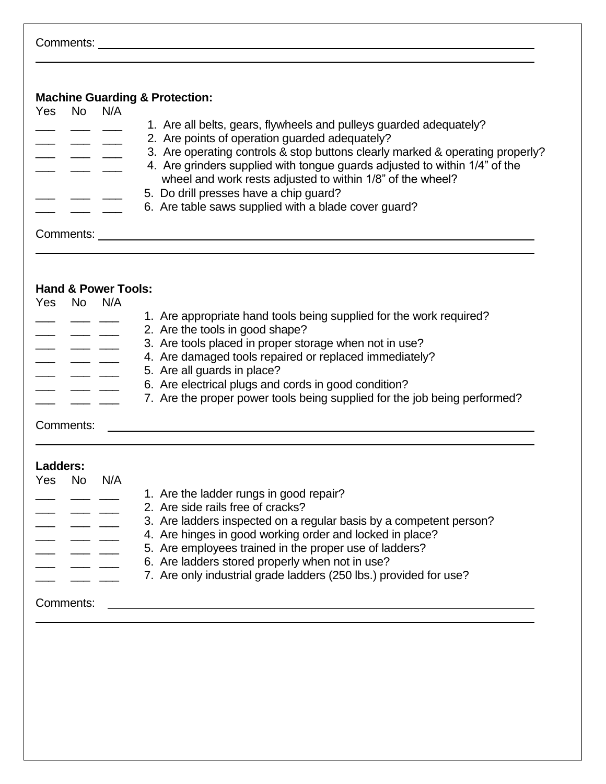| Yes       | <b>No</b>  | N/A                            | <b>Machine Guarding &amp; Protection:</b>                                                              |
|-----------|------------|--------------------------------|--------------------------------------------------------------------------------------------------------|
|           |            |                                | 1. Are all belts, gears, flywheels and pulleys guarded adequately?                                     |
|           |            |                                | 2. Are points of operation guarded adequately?                                                         |
|           |            |                                | 3. Are operating controls & stop buttons clearly marked & operating properly?                          |
|           |            |                                | 4. Are grinders supplied with tongue guards adjusted to within 1/4" of the                             |
|           |            |                                | wheel and work rests adjusted to within 1/8" of the wheel?                                             |
|           |            |                                | 5. Do drill presses have a chip guard?                                                                 |
|           |            |                                | 6. Are table saws supplied with a blade cover guard?                                                   |
|           |            |                                |                                                                                                        |
|           |            |                                |                                                                                                        |
|           |            | <b>Hand &amp; Power Tools:</b> |                                                                                                        |
|           | Yes No N/A |                                |                                                                                                        |
|           |            |                                | 1. Are appropriate hand tools being supplied for the work required?<br>2. Are the tools in good shape? |
|           |            |                                | 3. Are tools placed in proper storage when not in use?                                                 |
|           | — — —      |                                | 4. Are damaged tools repaired or replaced immediately?                                                 |
|           |            |                                | 5. Are all guards in place?                                                                            |
|           |            |                                | 6. Are electrical plugs and cords in good condition?                                                   |
|           |            |                                | 7. Are the proper power tools being supplied for the job being performed?                              |
|           | Comments:  |                                | <u> 1980 - Jan Alexandro Alexander (h. 1980).</u><br>1980 - Johann Alexander (h. 1980).                |
|           | Ladders:   |                                |                                                                                                        |
|           | Yes No     | N/A                            |                                                                                                        |
|           |            |                                | 1. Are the ladder rungs in good repair?                                                                |
|           |            |                                | 2. Are side rails free of cracks?                                                                      |
|           |            |                                | 3. Are ladders inspected on a regular basis by a competent person?                                     |
|           |            |                                | 4. Are hinges in good working order and locked in place?                                               |
|           |            |                                | 5. Are employees trained in the proper use of ladders?                                                 |
|           |            |                                | 6. Are ladders stored properly when not in use?                                                        |
|           |            |                                | 7. Are only industrial grade ladders (250 lbs.) provided for use?                                      |
|           |            |                                | <u> 1980 - Johann John Stein, fransk politik (f. 1980)</u>                                             |
| Comments: |            |                                |                                                                                                        |